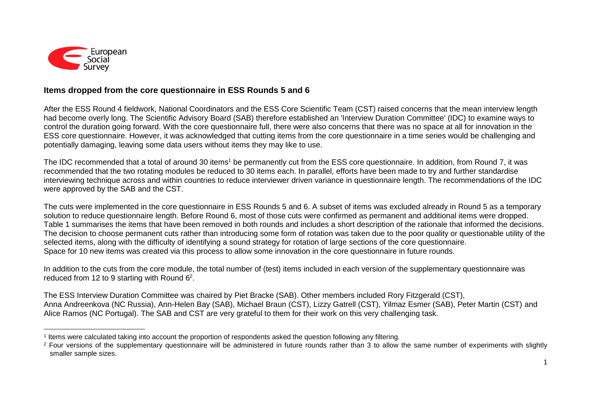

## **Items dropped from the core questionnaire in ESS Rounds 5 and 6**

After the ESS Round 4 fieldwork, National Coordinators and the ESS Core Scientific Team (CST) raised concerns that the mean interview length had become overly long. The Scientific Advisory Board (SAB) therefore established an 'Interview Duration Committee' (IDC) to examine ways to control the duration going forward. With the core questionnaire full, there were also concerns that there was no space at all for innovation in the ESS core questionnaire. However, it was acknowledged that cutting items from the core questionnaire in a time series would be challenging and potentially damaging, leaving some data users without items they may like to use.

The IDC recommended that a total of around 30 items<sup>1</sup> be permanently cut from the ESS core questionnaire. In addition, from Round 7, it was recommended that the two rotating modules be reduced to 30 items each. In parallel, efforts have been made to try and further standardise interviewing technique across and within countries to reduce interviewer driven variance in questionnaire length. The recommendations of the IDC were approved by the SAB and the CST.

The cuts were implemented in the core questionnaire in ESS Rounds 5 and 6. A subset of items was excluded already in Round 5 as a temporary solution to reduce questionnaire length. Before Round 6, most of those cuts were confirmed as permanent and additional items were dropped. Table 1 summarises the items that have been removed in both rounds and includes a short description of the rationale that informed the decisions. The decision to choose permanent cuts rather than introducing some form of rotation was taken due to the poor quality or questionable utility of the selected items, along with the difficulty of identifying a sound strategy for rotation of large sections of the core questionnaire. Space for 10 new items was created via this process to allow some innovation in the core questionnaire in future rounds.

In addition to the cuts from the core module, the total number of (test) items included in each version of the supplementary questionnaire was reduced from 12 to 9 starting with Round  $6<sup>2</sup>$ .

The ESS Interview Duration Committee was chaired by Piet Bracke (SAB). Other members included Rory Fitzgerald (CST), Anna Andreenkova (NC Russia), Ann-Helen Bay (SAB), Michael Braun (CST), Lizzy Gatrell (CST), Yilmaz Esmer (SAB), Peter Martin (CST) and Alice Ramos (NC Portugal). The SAB and CST are very grateful to them for their work on this very challenging task.

 $\overline{a}$ 1 Items were calculated taking into account the proportion of respondents asked the question following any filtering.

<sup>&</sup>lt;sup>2</sup> Four versions of the supplementary questionnaire will be administered in future rounds rather than 3 to allow the same number of experiments with slightly smaller sample sizes.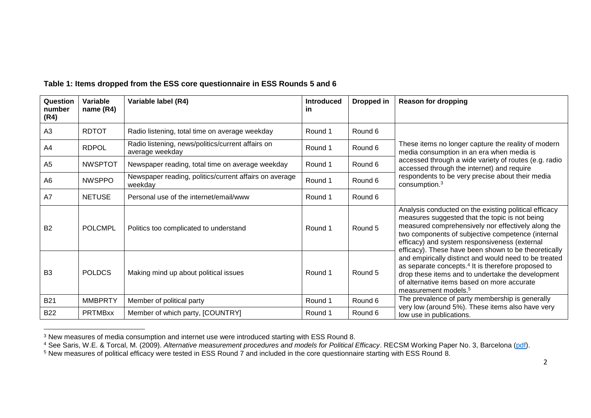| Question<br>number<br>(R4) | <b>Variable</b><br>name (R4) | Variable label (R4)                                                  | <b>Introduced</b><br><u>in</u> | Dropped in | <b>Reason for dropping</b>                                                                                                                                                                                                                                                                                                                                                                                                                                                                                                                                                                     |
|----------------------------|------------------------------|----------------------------------------------------------------------|--------------------------------|------------|------------------------------------------------------------------------------------------------------------------------------------------------------------------------------------------------------------------------------------------------------------------------------------------------------------------------------------------------------------------------------------------------------------------------------------------------------------------------------------------------------------------------------------------------------------------------------------------------|
| A3                         | <b>RDTOT</b>                 | Radio listening, total time on average weekday                       | Round 1                        | Round 6    | These items no longer capture the reality of modern<br>media consumption in an era when media is<br>accessed through a wide variety of routes (e.g. radio<br>accessed through the internet) and require<br>respondents to be very precise about their media<br>consumption. <sup>3</sup>                                                                                                                                                                                                                                                                                                       |
| A4                         | <b>RDPOL</b>                 | Radio listening, news/politics/current affairs on<br>average weekday | Round 1                        | Round 6    |                                                                                                                                                                                                                                                                                                                                                                                                                                                                                                                                                                                                |
| A <sub>5</sub>             | <b>NWSPTOT</b>               | Newspaper reading, total time on average weekday                     | Round 1                        | Round 6    |                                                                                                                                                                                                                                                                                                                                                                                                                                                                                                                                                                                                |
| A <sub>6</sub>             | <b>NWSPPO</b>                | Newspaper reading, politics/current affairs on average<br>weekday    | Round 1                        | Round 6    |                                                                                                                                                                                                                                                                                                                                                                                                                                                                                                                                                                                                |
| A7                         | <b>NETUSE</b>                | Personal use of the internet/email/www                               | Round 1                        | Round 6    |                                                                                                                                                                                                                                                                                                                                                                                                                                                                                                                                                                                                |
| <b>B2</b>                  | <b>POLCMPL</b>               | Politics too complicated to understand                               | Round 1                        | Round 5    | Analysis conducted on the existing political efficacy<br>measures suggested that the topic is not being<br>measured comprehensively nor effectively along the<br>two components of subjective competence (internal<br>efficacy) and system responsiveness (external<br>efficacy). These have been shown to be theoretically<br>and empirically distinct and would need to be treated<br>as separate concepts. <sup>4</sup> It is therefore proposed to<br>drop these items and to undertake the development<br>of alternative items based on more accurate<br>measurement models. <sup>5</sup> |
| B <sub>3</sub>             | <b>POLDCS</b>                | Making mind up about political issues                                | Round 1                        | Round 5    |                                                                                                                                                                                                                                                                                                                                                                                                                                                                                                                                                                                                |
| <b>B21</b>                 | <b>MMBPRTY</b>               | Member of political party                                            | Round 1                        | Round 6    | The prevalence of party membership is generally<br>very low (around 5%). These items also have very<br>low use in publications.                                                                                                                                                                                                                                                                                                                                                                                                                                                                |
| <b>B22</b>                 | <b>PRTMBxx</b>               | Member of which party, [COUNTRY]                                     | Round 1                        | Round 6    |                                                                                                                                                                                                                                                                                                                                                                                                                                                                                                                                                                                                |

## **Table 1: Items dropped from the ESS core questionnaire in ESS Rounds 5 and 6**

 $\overline{a}$  $3$  New measures of media consumption and internet use were introduced starting with ESS Round 8.

<sup>4</sup> See Saris, W.E. & Torcal, M. (2009). *Alternative measurement procedures and models for Political Efficacy*. RECSM Working Paper No. 3, Barcelona [\(pdf\)](https://www.upf.edu/documents/3966940/3986764/RECSM_wp003.pdf).

<sup>5</sup> New measures of political efficacy were tested in ESS Round 7 and included in the core questionnaire starting with ESS Round 8.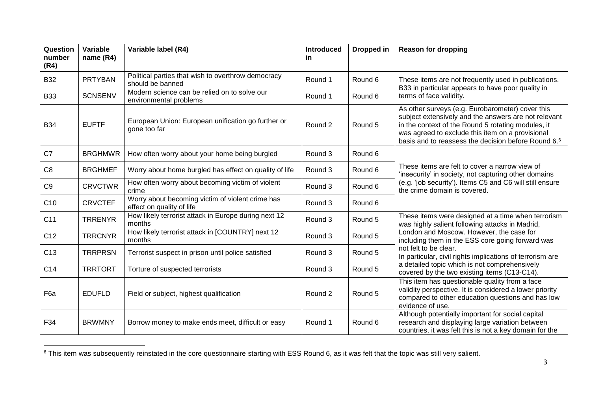| Question<br>number<br>(R4) | Variable<br>name $(R4)$ | Variable label (R4)                                                           | <b>Introduced</b><br><u>in</u> | Dropped in | <b>Reason for dropping</b>                                                                                                                                                                                                                                                                                                                                                                   |
|----------------------------|-------------------------|-------------------------------------------------------------------------------|--------------------------------|------------|----------------------------------------------------------------------------------------------------------------------------------------------------------------------------------------------------------------------------------------------------------------------------------------------------------------------------------------------------------------------------------------------|
| <b>B32</b>                 | <b>PRTYBAN</b>          | Political parties that wish to overthrow democracy<br>should be banned        | Round 1                        | Round 6    | These items are not frequently used in publications.<br>B33 in particular appears to have poor quality in<br>terms of face validity.                                                                                                                                                                                                                                                         |
| <b>B33</b>                 | <b>SCNSENV</b>          | Modern science can be relied on to solve our<br>environmental problems        | Round 1                        | Round 6    |                                                                                                                                                                                                                                                                                                                                                                                              |
| <b>B34</b>                 | <b>EUFTF</b>            | European Union: European unification go further or<br>gone too far            | Round 2                        | Round 5    | As other surveys (e.g. Eurobarometer) cover this<br>subject extensively and the answers are not relevant<br>in the context of the Round 5 rotating modules, it<br>was agreed to exclude this item on a provisional<br>basis and to reassess the decision before Round 6.6                                                                                                                    |
| C7                         | <b>BRGHMWR</b>          | How often worry about your home being burgled                                 | Round 3                        | Round 6    | These items are felt to cover a narrow view of<br>'insecurity' in society, not capturing other domains<br>(e.g. 'job security'). Items C5 and C6 will still ensure<br>the crime domain is covered.                                                                                                                                                                                           |
| C <sub>8</sub>             | <b>BRGHMEF</b>          | Worry about home burgled has effect on quality of life                        | Round 3                        | Round 6    |                                                                                                                                                                                                                                                                                                                                                                                              |
| C <sub>9</sub>             | <b>CRVCTWR</b>          | How often worry about becoming victim of violent<br>crime                     | Round 3                        | Round 6    |                                                                                                                                                                                                                                                                                                                                                                                              |
| C <sub>10</sub>            | <b>CRVCTEF</b>          | Worry about becoming victim of violent crime has<br>effect on quality of life | Round 3                        | Round 6    |                                                                                                                                                                                                                                                                                                                                                                                              |
| C <sub>11</sub>            | <b>TRRENYR</b>          | How likely terrorist attack in Europe during next 12<br>months                | Round 3                        | Round 5    | These items were designed at a time when terrorism<br>was highly salient following attacks in Madrid,<br>London and Moscow. However, the case for<br>including them in the ESS core going forward was<br>not felt to be clear.<br>In particular, civil rights implications of terrorism are<br>a detailed topic which is not comprehensively<br>covered by the two existing items (C13-C14). |
| C <sub>12</sub>            | <b>TRRCNYR</b>          | How likely terrorist attack in [COUNTRY] next 12<br>months                    | Round 3                        | Round 5    |                                                                                                                                                                                                                                                                                                                                                                                              |
| C <sub>13</sub>            | <b>TRRPRSN</b>          | Terrorist suspect in prison until police satisfied                            | Round 3                        | Round 5    |                                                                                                                                                                                                                                                                                                                                                                                              |
| C <sub>14</sub>            | <b>TRRTORT</b>          | Torture of suspected terrorists                                               | Round 3                        | Round 5    |                                                                                                                                                                                                                                                                                                                                                                                              |
| F <sub>6</sub> a           | <b>EDUFLD</b>           | Field or subject, highest qualification                                       | Round 2                        | Round 5    | This item has questionable quality from a face<br>validity perspective. It is considered a lower priority<br>compared to other education questions and has low<br>evidence of use.                                                                                                                                                                                                           |
| F34                        | <b>BRWMNY</b>           | Borrow money to make ends meet, difficult or easy                             | Round 1                        | Round 6    | Although potentially important for social capital<br>research and displaying large variation between<br>countries, it was felt this is not a key domain for the                                                                                                                                                                                                                              |

 $^6$  This item was subsequently reinstated in the core questionnaire starting with ESS Round 6, as it was felt that the topic was still very salient.

 $\overline{a}$